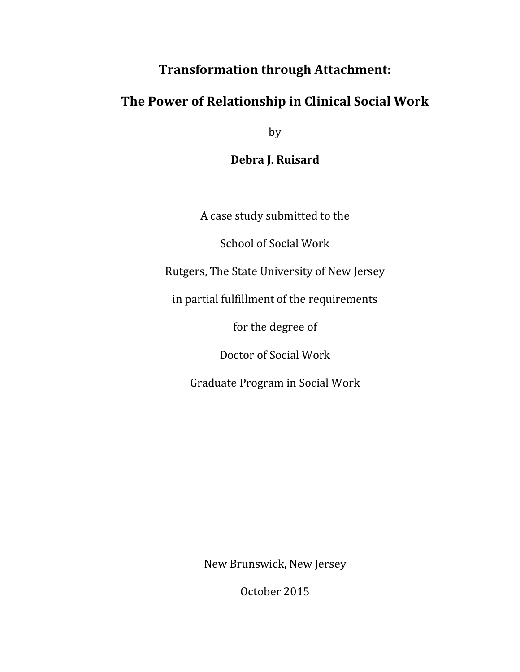# **Transformation through Attachment:**

# **The Power of Relationship in Clinical Social Work**

by

**Debra J. Ruisard**

A case study submitted to the

School of Social Work

Rutgers, The State University of New Jersey

in partial fulfillment of the requirements

for the degree of

Doctor of Social Work

Graduate Program in Social Work

New Brunswick, New Jersey

October 2015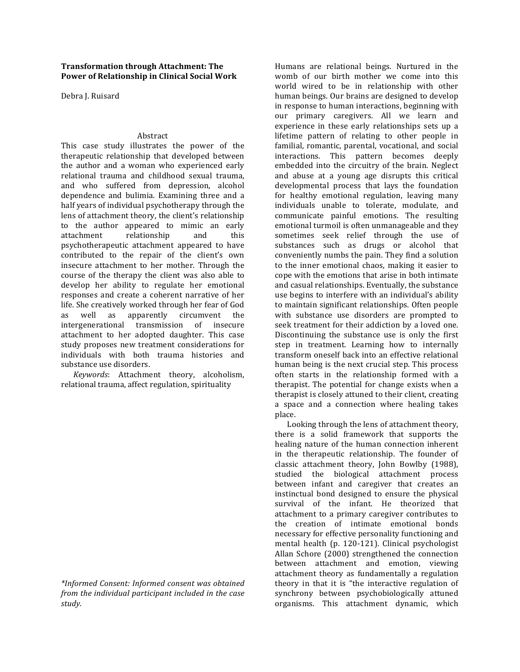#### **Transformation through Attachment: The Power of Relationship in Clinical Social Work**

Debra J. Ruisard

# Abstract

This case study illustrates the power of the therapeutic relationship that developed between the author and a woman who experienced early relational trauma and childhood sexual trauma, and who suffered from depression, alcohol dependence and bulimia. Examining three and a half years of individual psychotherapy through the lens of attachment theory, the client's relationship to the author appeared to mimic an early attachment relationship and this psychotherapeutic attachment appeared to have contributed to the repair of the client's own insecure attachment to her mother. Through the course of the therapy the client was also able to develop her ability to regulate her emotional responses and create a coherent narrative of her life. She creatively worked through her fear of God as well as apparently circumvent the intergenerational transmission of insecure attachment to her adopted daughter. This case study proposes new treatment considerations for individuals with both trauma histories and substance use disorders.

*Keywords*: Attachment theory, alcoholism, relational trauma, affect regulation, spirituality

*\*Informed Consent: Informed consent was obtained from the individual participant included in the case study.*

Humans are relational beings. Nurtured in the womb of our birth mother we come into this world wired to be in relationship with other human beings. Our brains are designed to develop in response to human interactions, beginning with our primary caregivers. All we learn and experience in these early relationships sets up a lifetime pattern of relating to other people in familial, romantic, parental, vocational, and social interactions. This pattern becomes deeply embedded into the circuitry of the brain. Neglect and abuse at a young age disrupts this critical developmental process that lays the foundation for healthy emotional regulation, leaving many individuals unable to tolerate, modulate, and communicate painful emotions. The resulting emotional turmoil is often unmanageable and they sometimes seek relief through the use of substances such as drugs or alcohol that conveniently numbs the pain. They find a solution to the inner emotional chaos, making it easier to cope with the emotions that arise in both intimate and casual relationships. Eventually, the substance use begins to interfere with an individual's ability to maintain significant relationships. Often people with substance use disorders are prompted to seek treatment for their addiction by a loved one. Discontinuing the substance use is only the first step in treatment. Learning how to internally transform oneself back into an effective relational human being is the next crucial step. This process often starts in the relationship formed with a therapist. The potential for change exists when a therapist is closely attuned to their client, creating a space and a connection where healing takes place.

Looking through the lens of attachment theory, there is a solid framework that supports the healing nature of the human connection inherent in the therapeutic relationship. The founder of classic attachment theory, John Bowlby (1988), studied the biological attachment process between infant and caregiver that creates an instinctual bond designed to ensure the physical survival of the infant. He theorized that attachment to a primary caregiver contributes to the creation of intimate emotional bonds necessary for effective personality functioning and mental health (p. 120-121). Clinical psychologist Allan Schore (2000) strengthened the connection between attachment and emotion, viewing attachment theory as fundamentally a regulation theory in that it is "the interactive regulation of synchrony between psychobiologically attuned organisms. This attachment dynamic, which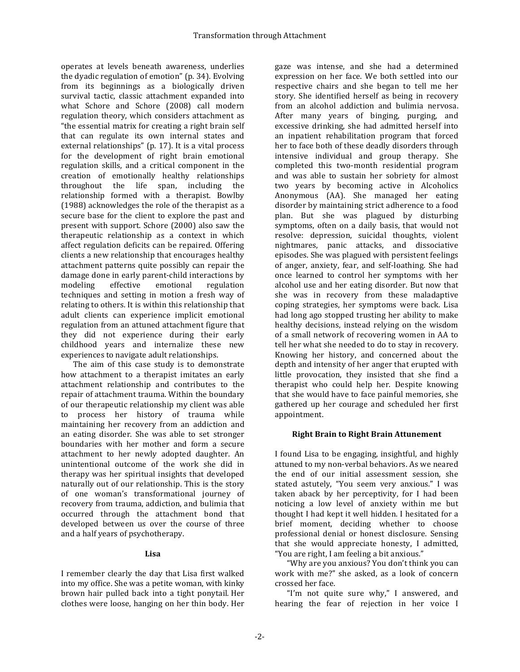operates at levels beneath awareness, underlies the dyadic regulation of emotion" (p. 34). Evolving from its beginnings as a biologically driven survival tactic, classic attachment expanded into what Schore and Schore (2008) call modern regulation theory, which considers attachment as "the essential matrix for creating a right brain self that can regulate its own internal states and external relationships"  $(p. 17)$ . It is a vital process for the development of right brain emotional regulation skills, and a critical component in the creation of emotionally healthy relationships throughout the life span, including the relationship formed with a therapist. Bowlby  $(1988)$  acknowledges the role of the therapist as a secure base for the client to explore the past and present with support. Schore (2000) also saw the therapeutic relationship as a context in which affect regulation deficits can be repaired. Offering clients a new relationship that encourages healthy attachment patterns quite possibly can repair the damage done in early parent-child interactions by modeling effective emotional regulation techniques and setting in motion a fresh way of relating to others. It is within this relationship that adult clients can experience implicit emotional regulation from an attuned attachment figure that they did not experience during their early childhood years and internalize these new experiences to navigate adult relationships.

The aim of this case study is to demonstrate how attachment to a therapist imitates an early attachment relationship and contributes to the repair of attachment trauma. Within the boundary of our therapeutic relationship my client was able to process her history of trauma while maintaining her recovery from an addiction and an eating disorder. She was able to set stronger boundaries with her mother and form a secure attachment to her newly adopted daughter. An unintentional outcome of the work she did in therapy was her spiritual insights that developed naturally out of our relationship. This is the story of one woman's transformational journey of recovery from trauma, addiction, and bulimia that occurred through the attachment bond that developed between us over the course of three and a half years of psychotherapy.

## **Lisa**

I remember clearly the day that Lisa first walked into my office. She was a petite woman, with kinky brown hair pulled back into a tight ponytail*.* Her clothes were loose, hanging on her thin body. Her

gaze was intense, and she had a determined expression on her face. We both settled into our respective chairs and she began to tell me her story. She identified herself as being in recovery from an alcohol addiction and bulimia nervosa. After many years of binging, purging, and excessive drinking, she had admitted herself into an inpatient rehabilitation program that forced her to face both of these deadly disorders through intensive individual and group therapy. She completed this two-month residential program and was able to sustain her sobriety for almost two years by becoming active in Alcoholics Anonymous (AA). She managed her eating disorder by maintaining strict adherence to a food plan. But she was plagued by disturbing symptoms, often on a daily basis, that would not resolve: depression, suicidal thoughts, violent nightmares, panic attacks, and dissociative episodes. She was plagued with persistent feelings of anger, anxiety, fear, and self-loathing. She had once learned to control her symptoms with her alcohol use and her eating disorder. But now that she was in recovery from these maladaptive coping strategies, her symptoms were back. Lisa had long ago stopped trusting her ability to make healthy decisions, instead relying on the wisdom of a small network of recovering women in AA to tell her what she needed to do to stay in recovery. Knowing her history, and concerned about the depth and intensity of her anger that erupted with little provocation, they insisted that she find a therapist who could help her. Despite knowing that she would have to face painful memories, she gathered up her courage and scheduled her first appointment.

## **Right Brain to Right Brain Attunement**

I found Lisa to be engaging, insightful, and highly attuned to my non-verbal behaviors. As we neared the end of our initial assessment session, she stated astutely, "You seem very anxious." I was taken aback by her perceptivity, for I had been noticing a low level of anxiety within me but thought I had kept it well hidden. I hesitated for a brief moment, deciding whether to choose professional denial or honest disclosure. Sensing that she would appreciate honesty, I admitted, "You are right, I am feeling a bit anxious."

"Why are you anxious? You don't think you can work with me?" she asked, as a look of concern crossed her face.

"I'm not quite sure why," I answered, and hearing the fear of rejection in her voice I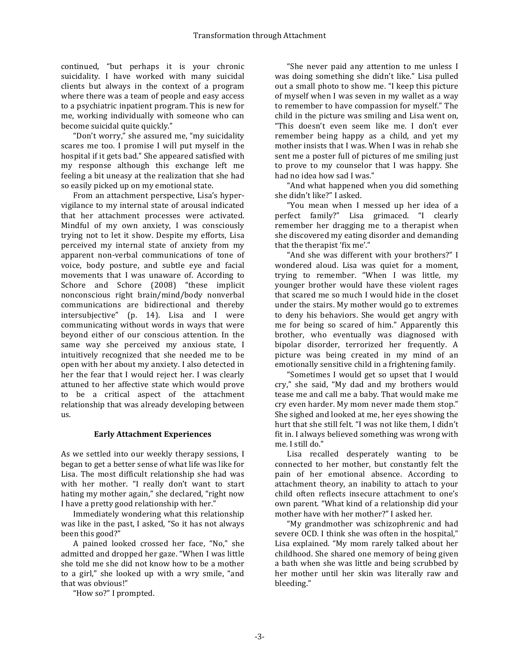continued, "but perhaps it is your chronic suicidality. I have worked with many suicidal clients but always in the context of a program where there was a team of people and easy access to a psychiatric inpatient program. This is new for me, working individually with someone who can become suicidal quite quickly."

"Don't worry," she assured me, "my suicidality scares me too. I promise I will put myself in the hospital if it gets bad." She appeared satisfied with my response although this exchange left me feeling a bit uneasy at the realization that she had so easily picked up on my emotional state.

From an attachment perspective, Lisa's hypervigilance to my internal state of arousal indicated that her attachment processes were activated. Mindful of my own anxiety, I was consciously trying not to let it show. Despite my efforts, Lisa perceived my internal state of anxiety from my apparent non-verbal communications of tone of voice, body posture, and subtle eye and facial movements that I was unaware of. According to Schore and Schore (2008) "these implicit nonconscious right brain/mind/body nonverbal communications are bidirectional and thereby intersubjective" (p. 14). Lisa and I were communicating without words in ways that were beyond either of our conscious attention. In the same way she perceived my anxious state, I intuitively recognized that she needed me to be open with her about my anxiety. I also detected in her the fear that I would reject her. I was clearly attuned to her affective state which would prove to be a critical aspect of the attachment relationship that was already developing between us.

## **Early Attachment Experiences**

As we settled into our weekly therapy sessions, I began to get a better sense of what life was like for Lisa. The most difficult relationship she had was with her mother. "I really don't want to start hating my mother again," she declared, "right now I have a pretty good relationship with her."

Immediately wondering what this relationship was like in the past, I asked, "So it has not always been this good?"

A pained looked crossed her face, "No," she admitted and dropped her gaze. "When I was little she told me she did not know how to be a mother to a girl," she looked up with a wry smile, "and that was obvious!"

"How so?" I prompted.

"She never paid any attention to me unless I was doing something she didn't like." Lisa pulled out a small photo to show me. "I keep this picture of myself when I was seven in my wallet as a way to remember to have compassion for myself." The child in the picture was smiling and Lisa went on, "This doesn't even seem like me. I don't ever remember being happy as a child, and yet my mother insists that I was. When I was in rehab she sent me a poster full of pictures of me smiling just to prove to my counselor that I was happy. She had no idea how sad I was."

"And what happened when you did something she didn't like?" I asked.

"You mean when I messed up her idea of a perfect family?" Lisa grimaced. "I clearly remember her dragging me to a therapist when she discovered my eating disorder and demanding that the therapist 'fix me'."

"And she was different with your brothers?" I wondered aloud. Lisa was quiet for a moment, trying to remember. "When I was little, my younger brother would have these violent rages that scared me so much I would hide in the closet under the stairs. My mother would go to extremes to deny his behaviors. She would get angry with me for being so scared of him." Apparently this brother, who eventually was diagnosed with bipolar disorder, terrorized her frequently. A picture was being created in my mind of an emotionally sensitive child in a frightening family.

"Sometimes I would get so upset that I would cry," she said, "My dad and my brothers would tease me and call me a baby. That would make me cry even harder. My mom never made them stop." She sighed and looked at me, her eyes showing the hurt that she still felt. "I was not like them, I didn't fit in. I always believed something was wrong with me. I still do."

Lisa recalled desperately wanting to be connected to her mother, but constantly felt the pain of her emotional absence. According to attachment theory, an inability to attach to your child often reflects insecure attachment to one's own parent. "What kind of a relationship did your mother have with her mother?" I asked her.

"My grandmother was schizophrenic and had severe OCD. I think she was often in the hospital." Lisa explained. "My mom rarely talked about her childhood. She shared one memory of being given a bath when she was little and being scrubbed by her mother until her skin was literally raw and bleeding."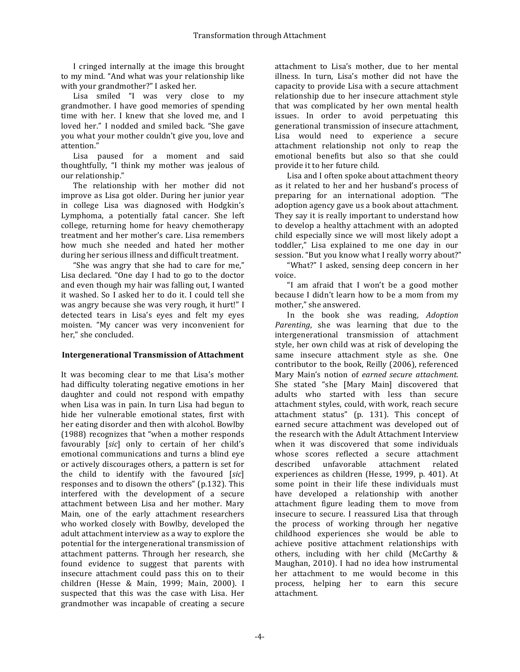I cringed internally at the image this brought to my mind. "And what was your relationship like with your grandmother?" I asked her.

Lisa smiled "I was very close to my grandmother. I have good memories of spending time with her. I knew that she loved me, and I loved her." I nodded and smiled back. "She gave you what your mother couldn't give you, love and attention."

Lisa paused for a moment and said thoughtfully, "I think my mother was jealous of our relationship."

The relationship with her mother did not improve as Lisa got older. During her junior year in college Lisa was diagnosed with Hodgkin's Lymphoma, a potentially fatal cancer. She left college, returning home for heavy chemotherapy treatment and her mother's care. Lisa remembers how much she needed and hated her mother during her serious illness and difficult treatment.

"She was angry that she had to care for me," Lisa declared. "One day I had to go to the doctor and even though my hair was falling out, I wanted it washed. So I asked her to do it. I could tell she was angry because she was very rough, it hurt!" I detected tears in Lisa's eyes and felt my eyes moisten. "My cancer was very inconvenient for her," she concluded.

## **Intergenerational Transmission of Attachment**

It was becoming clear to me that Lisa's mother had difficulty tolerating negative emotions in her daughter and could not respond with empathy when Lisa was in pain. In turn Lisa had begun to hide her vulnerable emotional states, first with her eating disorder and then with alcohol. Bowlby (1988) recognizes that "when a mother responds favourably [sic] only to certain of her child's emotional communications and turns a blind eve or actively discourages others, a pattern is set for the child to identify with the favoured [sic] responses and to disown the others"  $(p.132)$ . This interfered with the development of a secure attachment between Lisa and her mother. Mary Main, one of the early attachment researchers who worked closely with Bowlby, developed the adult attachment interview as a way to explore the potential for the intergenerational transmission of attachment patterns. Through her research, she found evidence to suggest that parents with insecure attachment could pass this on to their children (Hesse & Main, 1999; Main, 2000). I suspected that this was the case with Lisa. Her grandmother was incapable of creating a secure

attachment to Lisa's mother, due to her mental illness. In turn, Lisa's mother did not have the capacity to provide Lisa with a secure attachment relationship due to her insecure attachment style that was complicated by her own mental health issues. In order to avoid perpetuating this generational transmission of insecure attachment, Lisa would need to experience a secure attachment relationship not only to reap the emotional benefits but also so that she could provide it to her future child.

Lisa and I often spoke about attachment theory as it related to her and her husband's process of preparing for an international adoption. "The adoption agency gave us a book about attachment. They say it is really important to understand how to develop a healthy attachment with an adopted child especially since we will most likely adopt a toddler," Lisa explained to me one day in our session. "But you know what I really worry about?"

"What?" I asked, sensing deep concern in her voice.

"I am afraid that I won't be a good mother because I didn't learn how to be a mom from my mother," she answered.

In the book she was reading, *Adoption Parenting*, she was learning that due to the intergenerational transmission of attachment style, her own child was at risk of developing the same insecure attachment style as she. One contributor to the book, Reilly (2006), referenced Mary Main's notion of *earned secure attachment.* She stated "she [Mary Main] discovered that adults who started with less than secure attachment styles, could, with work, reach secure attachment status" (p. 131). This concept of earned secure attachment was developed out of the research with the Adult Attachment Interview when it was discovered that some individuals whose scores reflected a secure attachment described unfavorable attachment related experiences as children (Hesse, 1999, p. 401). At some point in their life these individuals must have developed a relationship with another attachment figure leading them to move from insecure to secure. I reassured Lisa that through the process of working through her negative childhood experiences she would be able to achieve positive attachment relationships with others, including with her child (McCarthy & Maughan, 2010). I had no idea how instrumental her attachment to me would become in this process, helping her to earn this secure attachment.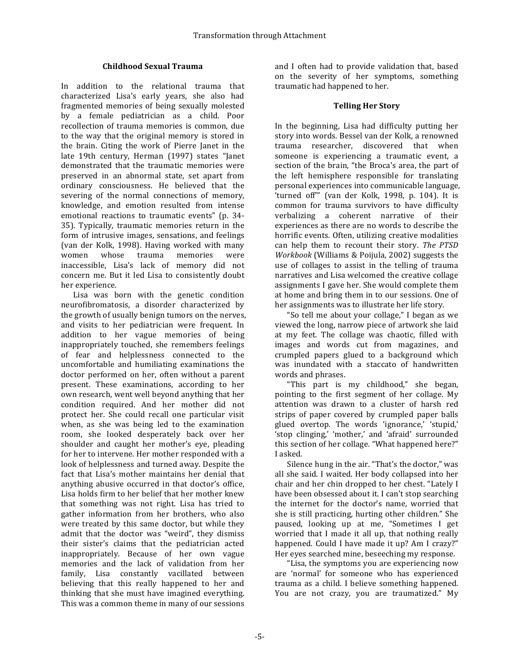# **Childhood Sexual Trauma**

In addition to the relational trauma that characterized Lisa's early years, she also had fragmented memories of being sexually molested by a female pediatrician as a child. Poor recollection of trauma memories is common, due to the way that the original memory is stored in the brain. Citing the work of Pierre Janet in the late 19th century, Herman (1997) states "Janet demonstrated that the traumatic memories were preserved in an abnormal state, set apart from ordinary consciousness. He believed that the severing of the normal connections of memory, knowledge, and emotion resulted from intense emotional reactions to traumatic events" (p. 34-35). Typically, traumatic memories return in the form of intrusive images, sensations, and feelings (van der Kolk, 1998). Having worked with many women whose trauma memories were inaccessible, Lisa's lack of memory did not concern me. But it led Lisa to consistently doubt her experience.

Lisa was born with the genetic condition neurofibromatosis, a disorder characterized by the growth of usually benign tumors on the nerves, and visits to her pediatrician were frequent. In addition to her vague memories of being inappropriately touched, she remembers feelings of fear and helplessness connected to the uncomfortable and humiliating examinations the doctor performed on her, often without a parent present. These examinations, according to her own research, went well beyond anything that her condition required. And her mother did not protect her. She could recall one particular visit when, as she was being led to the examination room, she looked desperately back over her shoulder and caught her mother's eye, pleading for her to intervene. Her mother responded with a look of helplessness and turned away. Despite the fact that Lisa's mother maintains her denial that anything abusive occurred in that doctor's office. Lisa holds firm to her belief that her mother knew that something was not right. Lisa has tried to gather information from her brothers, who also were treated by this same doctor, but while they admit that the doctor was "weird", they dismiss their sister's claims that the pediatrician acted inappropriately. Because of her own vague memories and the lack of validation from her family, Lisa constantly vacillated between believing that this really happened to her and thinking that she must have imagined everything. This was a common theme in many of our sessions

and I often had to provide validation that, based on the severity of her symptoms, something traumatic had happened to her.

### **Telling Her Story**

In the beginning, Lisa had difficulty putting her story into words. Bessel van der Kolk, a renowned trauma researcher, discovered that when someone is experiencing a traumatic event, a section of the brain, "the Broca's area, the part of the left hemisphere responsible for translating personal experiences into communicable language, 'turned off" (van der Kolk, 1998, p. 104). It is common for trauma survivors to have difficulty verbalizing a coherent narrative of their experiences as there are no words to describe the horrific events. Often, utilizing creative modalities can help them to recount their story. The PTSD *Workbook* (Williams & Poijula, 2002) suggests the use of collages to assist in the telling of trauma narratives and Lisa welcomed the creative collage assignments I gave her. She would complete them at home and bring them in to our sessions. One of her assignments was to illustrate her life story.

"So tell me about your collage," I began as we viewed the long, narrow piece of artwork she laid at my feet. The collage was chaotic, filled with images and words cut from magazines, and crumpled papers glued to a background which was inundated with a staccato of handwritten words and phrases.

"This part is my childhood," she began, pointing to the first segment of her collage. My attention was drawn to a cluster of harsh red strips of paper covered by crumpled paper balls glued overtop. The words 'ignorance,' 'stupid,' 'stop clinging,' 'mother,' and 'afraid' surrounded this section of her collage. "What happened here?" I asked.

Silence hung in the air. "That's the doctor," was all she said. I waited. Her body collapsed into her chair and her chin dropped to her chest. "Lately I have been obsessed about it. I can't stop searching the internet for the doctor's name, worried that she is still practicing, hurting other children." She paused, looking up at me, "Sometimes I get worried that I made it all up, that nothing really happened. Could I have made it up? Am I crazy?" Her eyes searched mine, beseeching my response.

"Lisa, the symptoms you are experiencing now are 'normal' for someone who has experienced trauma as a child. I believe something happened. You are not crazy, you are traumatized." My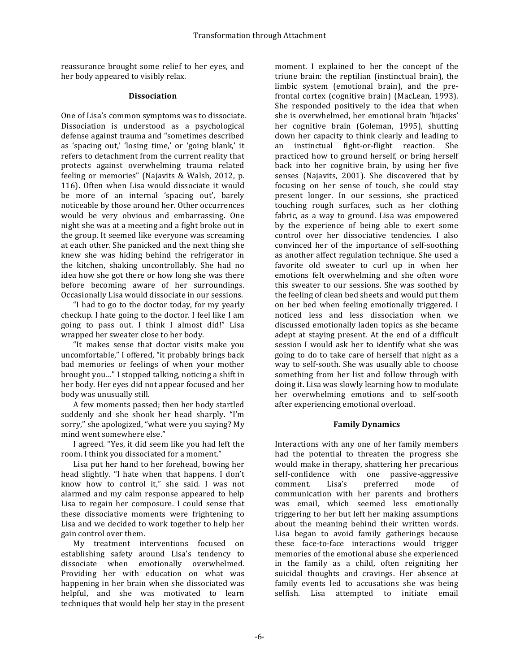reassurance brought some relief to her eyes, and her body appeared to visibly relax.

### **Dissociation**

One of Lisa's common symptoms was to dissociate. Dissociation is understood as a psychological defense against trauma and "sometimes described as 'spacing out,' 'losing time,' or 'going blank,' it refers to detachment from the current reality that protects against overwhelming trauma related feeling or memories" (Najavits & Walsh, 2012, p. 116). Often when Lisa would dissociate it would be more of an internal 'spacing out', barely noticeable by those around her. Other occurrences would be very obvious and embarrassing. One night she was at a meeting and a fight broke out in the group. It seemed like everyone was screaming at each other. She panicked and the next thing she knew she was hiding behind the refrigerator in the kitchen, shaking uncontrollably. She had no idea how she got there or how long she was there before becoming aware of her surroundings. Occasionally Lisa would dissociate in our sessions.

"I had to go to the doctor today, for my yearly checkup. I hate going to the doctor. I feel like I am going to pass out. I think I almost did!" Lisa wrapped her sweater close to her body.

"It makes sense that doctor visits make you uncomfortable," I offered, "it probably brings back bad memories or feelings of when your mother brought you..." I stopped talking, noticing a shift in her body. Her eyes did not appear focused and her body was unusually still.

A few moments passed; then her body startled suddenly and she shook her head sharply. "I'm sorry," she apologized, "what were you saying? My mind went somewhere else."

I agreed. "Yes, it did seem like you had left the room. I think you dissociated for a moment."

Lisa put her hand to her forehead, bowing her head slightly. "I hate when that happens. I don't know how to control it," she said. I was not alarmed and my calm response appeared to help Lisa to regain her composure. I could sense that these dissociative moments were frightening to Lisa and we decided to work together to help her gain control over them.

My treatment interventions focused on establishing safety around Lisa's tendency to dissociate when emotionally overwhelmed. Providing her with education on what was happening in her brain when she dissociated was helpful, and she was motivated to learn techniques that would help her stay in the present

moment. I explained to her the concept of the triune brain: the reptilian (instinctual brain), the limbic system (emotional brain), and the prefrontal cortex (cognitive brain) (MacLean, 1993). She responded positively to the idea that when she is overwhelmed, her emotional brain 'hijacks' her cognitive brain (Goleman, 1995), shutting down her capacity to think clearly and leading to an instinctual fight-or-flight reaction. She practiced how to ground herself, or bring herself back into her cognitive brain, by using her five senses (Najavits, 2001). She discovered that by focusing on her sense of touch, she could stay present longer. In our sessions, she practiced touching rough surfaces, such as her clothing fabric, as a way to ground. Lisa was empowered by the experience of being able to exert some control over her dissociative tendencies. I also convinced her of the importance of self-soothing as another affect regulation technique. She used a favorite old sweater to curl up in when her emotions felt overwhelming and she often wore this sweater to our sessions. She was soothed by the feeling of clean bed sheets and would put them on her bed when feeling emotionally triggered. I noticed less and less dissociation when we discussed emotionally laden topics as she became adept at staying present. At the end of a difficult session I would ask her to identify what she was going to do to take care of herself that night as a way to self-sooth. She was usually able to choose something from her list and follow through with doing it. Lisa was slowly learning how to modulate her overwhelming emotions and to self-sooth after experiencing emotional overload.

## **Family Dynamics**

Interactions with any one of her family members had the potential to threaten the progress she would make in therapy, shattering her precarious self-confidence with one passive-aggressive comment. Lisa's preferred mode of communication with her parents and brothers was email, which seemed less emotionally triggering to her but left her making assumptions about the meaning behind their written words. Lisa began to avoid family gatherings because these face-to-face interactions would trigger memories of the emotional abuse she experienced in the family as a child, often reigniting her suicidal thoughts and cravings. Her absence at family events led to accusations she was being selfish. Lisa attempted to initiate email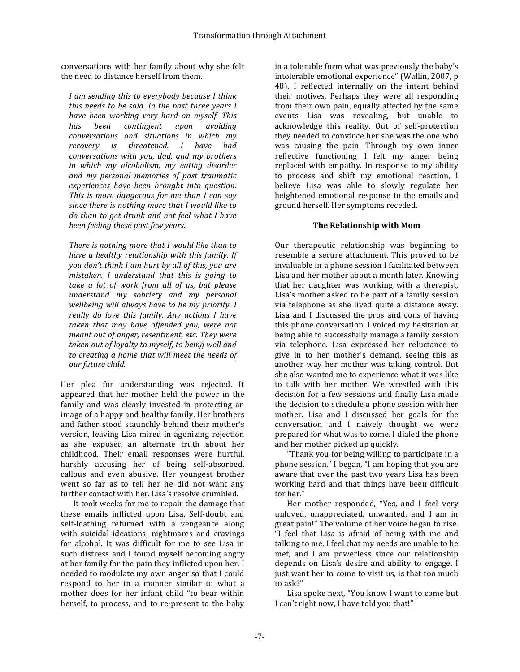conversations with her family about why she felt the need to distance herself from them.

*I* am sending this to everybody because *I* think *this needs to be said. In the past three years I* have been working very hard on myself. This has *been* contingent upon avoiding *conversations and situations in which my recovery is threatened. I have had conversations with you, dad, and my brothers in which my alcoholism, my eating disorder and my personal memories of past traumatic*  experiences have been brought into question. This is more dangerous for me than I can say since there is nothing more that I would like to do than to get drunk and not feel what I have *been feeling these past few years.*

There is nothing more that I would like than to have a healthy relationship with this family. If *you don't think I am hurt by all of this, you are* mistaken. I understand that this is going to *take a lot of work from all of us, but please understand my sobriety and my personal*  wellbeing will always have to be my priority. I really do love this family. Any actions I have *taken that may have offended you, were not meant out of anger, resentment, etc. They were*  taken out of loyalty to myself, to being well and to creating a home that will meet the needs of *our future child.*

Her plea for understanding was rejected. It appeared that her mother held the power in the family and was clearly invested in protecting an image of a happy and healthy family. Her brothers and father stood staunchly behind their mother's version, leaving Lisa mired in agonizing rejection as she exposed an alternate truth about her childhood. Their email responses were hurtful, harshly accusing her of being self-absorbed, callous and even abusive. Her youngest brother went so far as to tell her he did not want any further contact with her. Lisa's resolve crumbled.

It took weeks for me to repair the damage that these emails inflicted upon Lisa. Self-doubt and self-loathing returned with a vengeance along with suicidal ideations, nightmares and cravings for alcohol. It was difficult for me to see Lisa in such distress and I found myself becoming angry at her family for the pain they inflicted upon her. I needed to modulate my own anger so that I could respond to her in a manner similar to what a mother does for her infant child "to bear within herself, to process, and to re-present to the baby

in a tolerable form what was previously the baby's intolerable emotional experience" (Wallin, 2007, p. 48). I reflected internally on the intent behind their motives. Perhaps they were all responding from their own pain, equally affected by the same events Lisa was revealing, but unable to acknowledge this reality. Out of self-protection they needed to convince her she was the one who was causing the pain. Through my own inner reflective functioning I felt my anger being replaced with empathy. In response to my ability to process and shift my emotional reaction, I believe Lisa was able to slowly regulate her heightened emotional response to the emails and ground herself. Her symptoms receded.

#### **The Relationship with Mom**

Our therapeutic relationship was beginning to resemble a secure attachment. This proved to be invaluable in a phone session I facilitated between Lisa and her mother about a month later. Knowing that her daughter was working with a therapist, Lisa's mother asked to be part of a family session via telephone as she lived quite a distance away. Lisa and I discussed the pros and cons of having this phone conversation. I voiced my hesitation at being able to successfully manage a family session via telephone. Lisa expressed her reluctance to give in to her mother's demand, seeing this as another way her mother was taking control. But she also wanted me to experience what it was like to talk with her mother. We wrestled with this decision for a few sessions and finally Lisa made the decision to schedule a phone session with her mother. Lisa and I discussed her goals for the conversation and I naively thought we were prepared for what was to come. I dialed the phone and her mother picked up quickly.

"Thank you for being willing to participate in a phone session," I began, "I am hoping that you are aware that over the past two years Lisa has been working hard and that things have been difficult for her"

Her mother responded, "Yes, and I feel very unloved, unappreciated, unwanted, and I am in great pain!" The volume of her voice began to rise. "I feel that Lisa is afraid of being with me and talking to me. I feel that my needs are unable to be met, and I am powerless since our relationship depends on Lisa's desire and ability to engage. I just want her to come to visit us, is that too much to ask?"

Lisa spoke next, "You know I want to come but I can't right now, I have told you that!"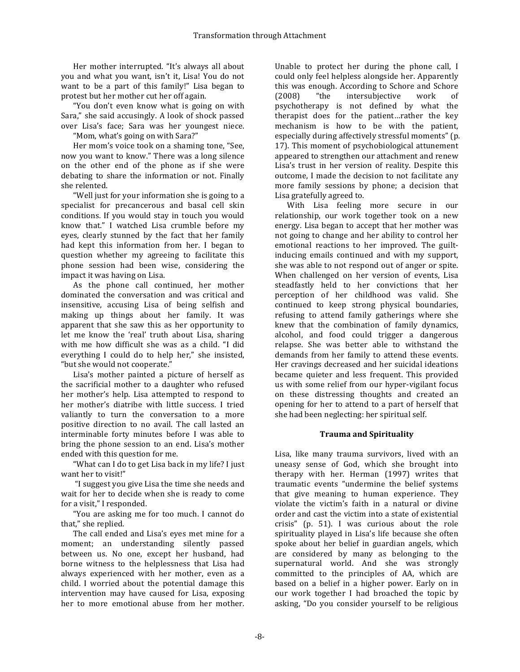Her mother interrupted. "It's always all about you and what you want, isn't it, Lisa! You do not want to be a part of this family!" Lisa began to protest but her mother cut her off again.

"You don't even know what is going on with Sara," she said accusingly. A look of shock passed over Lisa's face; Sara was her youngest niece.

"Mom, what's going on with Sara?"

Her mom's voice took on a shaming tone, "See, now you want to know." There was a long silence on the other end of the phone as if she were debating to share the information or not. Finally she relented.

"Well just for your information she is going to a specialist for precancerous and basal cell skin conditions. If you would stay in touch you would know that." I watched Lisa crumble before my eyes, clearly stunned by the fact that her family had kept this information from her. I began to question whether my agreeing to facilitate this phone session had been wise, considering the impact it was having on Lisa.

As the phone call continued, her mother dominated the conversation and was critical and insensitive, accusing Lisa of being selfish and making up things about her family. It was apparent that she saw this as her opportunity to let me know the 'real' truth about Lisa, sharing with me how difficult she was as a child. "I did everything I could do to help her," she insisted, "but she would not cooperate."

Lisa's mother painted a picture of herself as the sacrificial mother to a daughter who refused her mother's help. Lisa attempted to respond to her mother's diatribe with little success. I tried valiantly to turn the conversation to a more positive direction to no avail. The call lasted an interminable forty minutes before I was able to bring the phone session to an end. Lisa's mother ended with this question for me.

"What can I do to get Lisa back in my life? I just want her to visit!"

"I suggest you give Lisa the time she needs and wait for her to decide when she is ready to come for a visit," I responded.

"You are asking me for too much. I cannot do that," she replied.

The call ended and Lisa's eyes met mine for a moment; an understanding silently passed between us. No one, except her husband, had borne witness to the helplessness that Lisa had always experienced with her mother, even as a child. I worried about the potential damage this intervention may have caused for Lisa, exposing her to more emotional abuse from her mother.

Unable to protect her during the phone call, I could only feel helpless alongside her. Apparently this was enough. According to Schore and Schore (2008) "the intersubjective work of psychotherapy is not defined by what the therapist does for the patient...rather the key mechanism is how to be with the patient, especially during affectively stressful moments" (p. 17). This moment of psychobiological attunement appeared to strengthen our attachment and renew Lisa's trust in her version of reality. Despite this outcome, I made the decision to not facilitate any more family sessions by phone; a decision that Lisa gratefully agreed to.

With Lisa feeling more secure in our relationship, our work together took on a new energy. Lisa began to accept that her mother was not going to change and her ability to control her emotional reactions to her improved. The guiltinducing emails continued and with my support, she was able to not respond out of anger or spite. When challenged on her version of events, Lisa steadfastly held to her convictions that her perception of her childhood was valid. She continued to keep strong physical boundaries, refusing to attend family gatherings where she knew that the combination of family dynamics, alcohol, and food could trigger a dangerous relapse. She was better able to withstand the demands from her family to attend these events. Her cravings decreased and her suicidal ideations became quieter and less frequent. This provided us with some relief from our hyper-vigilant focus on these distressing thoughts and created an opening for her to attend to a part of herself that she had been neglecting: her spiritual self.

#### **Trauma and Spirituality**

Lisa, like many trauma survivors, lived with an uneasy sense of God, which she brought into therapy with her. Herman (1997) writes that traumatic events "undermine the belief systems that give meaning to human experience. They violate the victim's faith in a natural or divine order and cast the victim into a state of existential crisis"  $(p. 51)$ . I was curious about the role spirituality played in Lisa's life because she often spoke about her belief in guardian angels, which are considered by many as belonging to the supernatural world. And she was strongly committed to the principles of AA, which are based on a belief in a higher power. Early on in our work together I had broached the topic by asking, "Do you consider yourself to be religious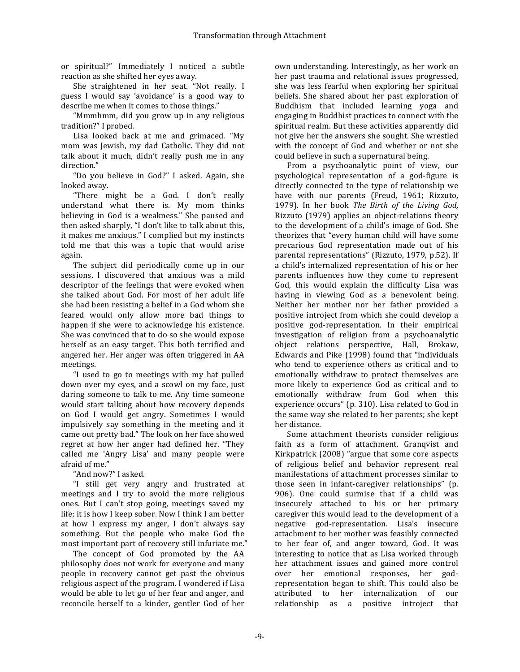or spiritual?" Immediately I noticed a subtle reaction as she shifted her eves away.

She straightened in her seat. "Not really. I guess I would say 'avoidance' is a good way to describe me when it comes to those things."

"Mmmhmm, did you grow up in any religious tradition?" I probed.

Lisa looked back at me and grimaced. "My mom was Jewish, my dad Catholic. They did not talk about it much, didn't really push me in any direction."

"Do you believe in God?" I asked. Again, she looked away.

"There might be a God. I don't really understand what there is. My mom thinks believing in God is a weakness." She paused and then asked sharply, "I don't like to talk about this, it makes me anxious." I complied but my instincts told me that this was a topic that would arise again.

The subject did periodically come up in our sessions. I discovered that anxious was a mild descriptor of the feelings that were evoked when she talked about God. For most of her adult life she had been resisting a belief in a God whom she feared would only allow more bad things to happen if she were to acknowledge his existence. She was convinced that to do so she would expose herself as an easy target. This both terrified and angered her. Her anger was often triggered in AA meetings.

"I used to go to meetings with my hat pulled down over my eyes, and a scowl on my face, just daring someone to talk to me. Any time someone would start talking about how recovery depends on God I would get angry. Sometimes I would impulsively say something in the meeting and it came out pretty bad." The look on her face showed regret at how her anger had defined her. "They called me 'Angry Lisa' and many people were afraid of me."

"And now?" I asked.

"I still get very angry and frustrated at meetings and I try to avoid the more religious ones. But I can't stop going, meetings saved my life; it is how I keep sober. Now I think I am better at how I express my anger, I don't always say something. But the people who make God the most important part of recovery still infuriate me."

The concept of God promoted by the AA philosophy does not work for everyone and many people in recovery cannot get past the obvious religious aspect of the program. I wondered if Lisa would be able to let go of her fear and anger, and reconcile herself to a kinder, gentler God of her

own understanding. Interestingly, as her work on her past trauma and relational issues progressed. she was less fearful when exploring her spiritual beliefs. She shared about her past exploration of Buddhism that included learning yoga and engaging in Buddhist practices to connect with the spiritual realm. But these activities apparently did not give her the answers she sought. She wrestled with the concept of God and whether or not she could believe in such a supernatural being.

From a psychoanalytic point of view, our psychological representation of a god-figure is directly connected to the type of relationship we have with our parents (Freud, 1961; Rizzuto, 1979). In her book *The Birth of the Living God,* Rizzuto (1979) applies an object-relations theory to the development of a child's image of God. She theorizes that "every human child will have some precarious God representation made out of his parental representations" (Rizzuto, 1979, p.52). If a child's internalized representation of his or her parents influences how they come to represent God, this would explain the difficulty Lisa was having in viewing God as a benevolent being. Neither her mother nor her father provided a positive introject from which she could develop a positive god-representation. In their empirical investigation of religion from a psychoanalytic object relations perspective, Hall, Brokaw, Edwards and Pike (1998) found that "individuals who tend to experience others as critical and to emotionally withdraw to protect themselves are more likely to experience God as critical and to emotionally withdraw from God when this experience occurs" (p. 310). Lisa related to God in the same way she related to her parents; she kept her distance.

Some attachment theorists consider religious faith as a form of attachment. Granqvist and Kirkpatrick  $(2008)$  "argue that some core aspects of religious belief and behavior represent real manifestations of attachment processes similar to those seen in infant-caregiver relationships" (p. 906). One could surmise that if a child was insecurely attached to his or her primary caregiver this would lead to the development of a negative god-representation. Lisa's insecure attachment to her mother was feasibly connected to her fear of, and anger toward, God. It was interesting to notice that as Lisa worked through her attachment issues and gained more control over her emotional responses, her godrepresentation began to shift. This could also be attributed to her internalization of our relationship as a positive introject that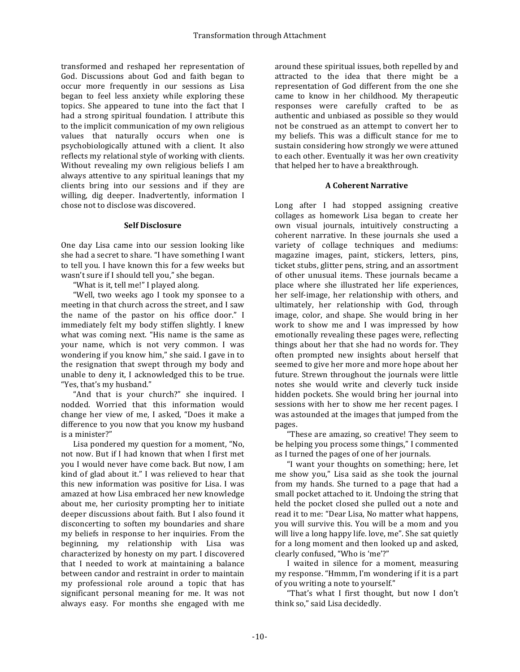transformed and reshaped her representation of God. Discussions about God and faith began to occur more frequently in our sessions as Lisa began to feel less anxiety while exploring these topics. She appeared to tune into the fact that I had a strong spiritual foundation. I attribute this to the implicit communication of my own religious values that naturally occurs when one is psychobiologically attuned with a client. It also reflects my relational style of working with clients. Without revealing my own religious beliefs I am always attentive to any spiritual leanings that my clients bring into our sessions and if they are willing, dig deeper. Inadvertently, information I chose not to disclose was discovered.

#### **Self Disclosure**

One day Lisa came into our session looking like she had a secret to share. "I have something I want to tell you. I have known this for a few weeks but wasn't sure if I should tell you," she began.

"What is it, tell me!" I played along.

"Well, two weeks ago I took my sponsee to a meeting in that church across the street, and I saw the name of the pastor on his office door." I immediately felt my body stiffen slightly. I knew what was coming next. "His name is the same as your name, which is not very common. I was wondering if you know him," she said. I gave in to the resignation that swept through my body and unable to deny it, I acknowledged this to be true. "Yes, that's my husband."

"And that is your church?" she inquired. I nodded. Worried that this information would change her view of me, I asked, "Does it make a difference to you now that you know my husband is a minister?"

Lisa pondered my question for a moment, "No, not now. But if I had known that when I first met you I would never have come back. But now, I am kind of glad about it." I was relieved to hear that this new information was positive for Lisa. I was amazed at how Lisa embraced her new knowledge about me, her curiosity prompting her to initiate deeper discussions about faith. But I also found it disconcerting to soften my boundaries and share my beliefs in response to her inquiries. From the beginning, my relationship with Lisa was characterized by honesty on my part. I discovered that I needed to work at maintaining a balance between candor and restraint in order to maintain my professional role around a topic that has significant personal meaning for me. It was not always easy. For months she engaged with me

around these spiritual issues, both repelled by and attracted to the idea that there might be a representation of God different from the one she came to know in her childhood. My therapeutic responses were carefully crafted to be as authentic and unbiased as possible so they would not be construed as an attempt to convert her to my beliefs. This was a difficult stance for me to sustain considering how strongly we were attuned to each other. Eventually it was her own creativity that helped her to have a breakthrough.

#### **A Coherent Narrative**

Long after I had stopped assigning creative collages as homework Lisa began to create her own visual journals, intuitively constructing a coherent narrative. In these journals she used a variety of collage techniques and mediums: magazine images, paint, stickers, letters, pins, ticket stubs, glitter pens, string, and an assortment of other unusual items. These journals became a place where she illustrated her life experiences, her self-image, her relationship with others, and ultimately, her relationship with God, through image, color, and shape. She would bring in her work to show me and I was impressed by how emotionally revealing these pages were, reflecting things about her that she had no words for. They often prompted new insights about herself that seemed to give her more and more hope about her future. Strewn throughout the journals were little notes she would write and cleverly tuck inside hidden pockets. She would bring her journal into sessions with her to show me her recent pages. I was astounded at the images that jumped from the pages. 

"These are amazing, so creative! They seem to be helping you process some things," I commented as I turned the pages of one of her journals.

"I want your thoughts on something; here, let me show you," Lisa said as she took the journal from my hands. She turned to a page that had a small pocket attached to it. Undoing the string that held the pocket closed she pulled out a note and read it to me: "Dear Lisa, No matter what happens, you will survive this. You will be a mom and you will live a long happy life. love, me". She sat quietly for a long moment and then looked up and asked. clearly confused, "Who is 'me'?"

I waited in silence for a moment, measuring my response. "Hmmm, I'm wondering if it is a part of you writing a note to yourself."

"That's what I first thought, but now I don't think so," said Lisa decidedly.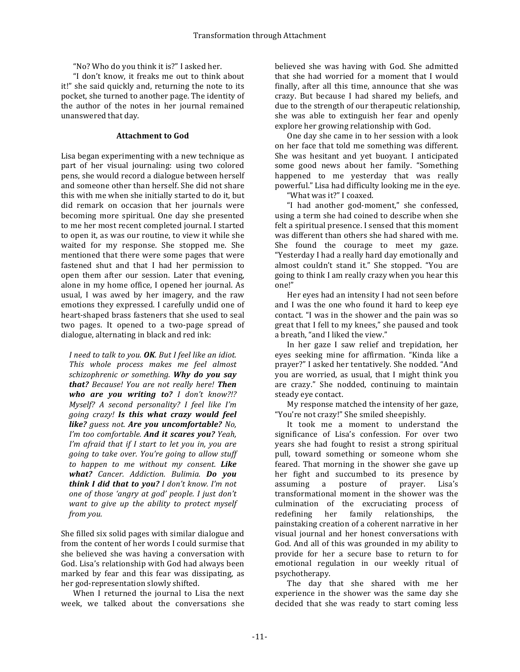"No? Who do you think it is?" I asked her.

"I don't know, it freaks me out to think about it!" she said quickly and, returning the note to its pocket, she turned to another page. The identity of the author of the notes in her journal remained unanswered that day.

### **Attachment to God**

Lisa began experimenting with a new technique as part of her visual journaling: using two colored pens, she would record a dialogue between herself and someone other than herself. She did not share this with me when she initially started to do it, but did remark on occasion that her journals were becoming more spiritual. One day she presented to me her most recent completed journal. I started to open it, as was our routine, to view it while she waited for my response. She stopped me. She mentioned that there were some pages that were fastened shut and that I had her permission to open them after our session. Later that evening, alone in my home office, I opened her journal. As usual, I was awed by her imagery, and the raw emotions they expressed. I carefully undid one of heart-shaped brass fasteners that she used to seal two pages. It opened to a two-page spread of dialogue, alternating in black and red ink:

*I* need to talk to you. **OK**. But I feel like an idiot. *This whole process makes me feel almost schizophrenic or something.* Why do you say *that? Because! You are not really here! Then who are you writing to? I* don't know?!? *Myself? A second personality? I feel like I'm going crazy!* Is this what crazy would feel *like? guess not. Are you uncomfortable?* No, *I'm too comfortable.* And *it scares you? Yeah, I'm afraid that if I start to let you in, you are going to take over. You're going to allow stuff to happen to me without my consent. Like what? Cancer. Addiction. Bulimia. Do you think I did that to you? I don't know. I'm not one of those 'angry at god' people. I just don't want to give up the ability to protect myself from you.*

She filled six solid pages with similar dialogue and from the content of her words I could surmise that she believed she was having a conversation with God. Lisa's relationship with God had always been marked by fear and this fear was dissipating, as her god-representation slowly shifted.

When I returned the journal to Lisa the next week, we talked about the conversations she

believed she was having with God. She admitted that she had worried for a moment that I would finally, after all this time, announce that she was crazy. But because I had shared my beliefs, and due to the strength of our therapeutic relationship, she was able to extinguish her fear and openly explore her growing relationship with God.

One day she came in to her session with a look on her face that told me something was different. She was hesitant and yet buoyant. I anticipated some good news about her family. "Something happened to me yesterday that was really powerful." Lisa had difficulty looking me in the eye.

"What was it?" I coaxed.

"I had another god-moment," she confessed, using a term she had coined to describe when she felt a spiritual presence. I sensed that this moment was different than others she had shared with me. She found the courage to meet my gaze. "Yesterday I had a really hard day emotionally and almost couldn't stand it." She stopped. "You are going to think I am really crazy when you hear this one!"

Her eyes had an intensity I had not seen before and I was the one who found it hard to keep eye contact. "I was in the shower and the pain was so great that I fell to my knees," she paused and took a breath, "and I liked the view."

In her gaze I saw relief and trepidation, her eyes seeking mine for affirmation. "Kinda like a prayer?" I asked her tentatively. She nodded. "And you are worried, as usual, that I might think you are crazy." She nodded, continuing to maintain steady eve contact.

My response matched the intensity of her gaze, "You're not crazy!" She smiled sheepishly.

It took me a moment to understand the significance of Lisa's confession. For over two vears she had fought to resist a strong spiritual pull, toward something or someone whom she feared. That morning in the shower she gave up her fight and succumbed to its presence by assuming a posture of prayer. Lisa's transformational moment in the shower was the culmination of the excruciating process of redefining her family relationships, the painstaking creation of a coherent narrative in her visual iournal and her honest conversations with God. And all of this was grounded in my ability to provide for her a secure base to return to for emotional regulation in our weekly ritual of psychotherapy.

The day that she shared with me her experience in the shower was the same day she decided that she was ready to start coming less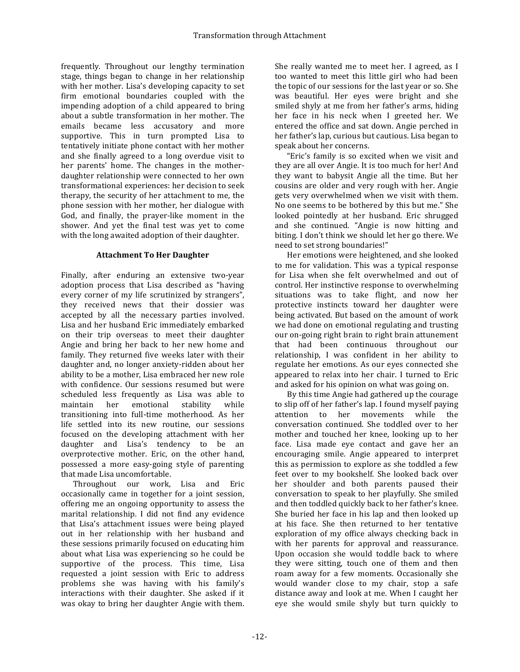frequently. Throughout our lengthy termination stage, things began to change in her relationship with her mother. Lisa's developing capacity to set firm emotional boundaries coupled with the impending adoption of a child appeared to bring about a subtle transformation in her mother. The emails became less accusatory and more supportive. This in turn prompted Lisa to tentatively initiate phone contact with her mother and she finally agreed to a long overdue visit to her parents' home. The changes in the motherdaughter relationship were connected to her own transformational experiences: her decision to seek therapy, the security of her attachment to me, the phone session with her mother, her dialogue with God, and finally, the prayer-like moment in the shower. And yet the final test was yet to come with the long awaited adoption of their daughter.

# **Attachment To Her Daughter**

Finally, after enduring an extensive two-year adoption process that Lisa described as "having every corner of my life scrutinized by strangers", they received news that their dossier was accepted by all the necessary parties involved. Lisa and her husband Eric immediately embarked on their trip overseas to meet their daughter Angie and bring her back to her new home and family. They returned five weeks later with their daughter and, no longer anxiety-ridden about her ability to be a mother. Lisa embraced her new role with confidence. Our sessions resumed but were scheduled less frequently as Lisa was able to maintain her emotional stability while transitioning into full-time motherhood. As her life settled into its new routine, our sessions focused on the developing attachment with her daughter and Lisa's tendency to be an overprotective mother. Eric, on the other hand, possessed a more easy-going style of parenting that made Lisa uncomfortable.

Throughout our work, Lisa and Eric occasionally came in together for a joint session, offering me an ongoing opportunity to assess the marital relationship. I did not find any evidence that Lisa's attachment issues were being played out in her relationship with her husband and these sessions primarily focused on educating him about what Lisa was experiencing so he could be supportive of the process. This time, Lisa requested a joint session with Eric to address problems she was having with his family's interactions with their daughter. She asked if it was okay to bring her daughter Angie with them.

She really wanted me to meet her. I agreed, as I too wanted to meet this little girl who had been the topic of our sessions for the last year or so. She was beautiful. Her eyes were bright and she smiled shyly at me from her father's arms, hiding her face in his neck when I greeted her. We entered the office and sat down. Angie perched in her father's lap, curious but cautious. Lisa began to speak about her concerns.

"Eric's family is so excited when we visit and they are all over Angie. It is too much for her! And they want to babysit Angie all the time. But her cousins are older and very rough with her. Angie gets very overwhelmed when we visit with them. No one seems to be bothered by this but me." She looked pointedly at her husband. Eric shrugged and she continued. "Angie is now hitting and biting. I don't think we should let her go there. We need to set strong boundaries!"

Her emotions were heightened, and she looked to me for validation. This was a typical response for Lisa when she felt overwhelmed and out of control. Her instinctive response to overwhelming situations was to take flight, and now her protective instincts toward her daughter were being activated. But based on the amount of work we had done on emotional regulating and trusting our on-going right brain to right brain attunement that had been continuous throughout our relationship, I was confident in her ability to regulate her emotions. As our eyes connected she appeared to relax into her chair. I turned to Eric and asked for his opinion on what was going on.

By this time Angie had gathered up the courage to slip off of her father's lap. I found myself paying attention to her movements while the conversation continued. She toddled over to her mother and touched her knee, looking up to her face. Lisa made eye contact and gave her an encouraging smile. Angie appeared to interpret this as permission to explore as she toddled a few feet over to my bookshelf. She looked back over her shoulder and both parents paused their conversation to speak to her playfully. She smiled and then toddled quickly back to her father's knee. She buried her face in his lap and then looked up at his face. She then returned to her tentative exploration of my office always checking back in with her parents for approval and reassurance. Upon occasion she would toddle back to where they were sitting, touch one of them and then roam away for a few moments. Occasionally she would wander close to my chair, stop a safe distance away and look at me. When I caught her eye she would smile shyly but turn quickly to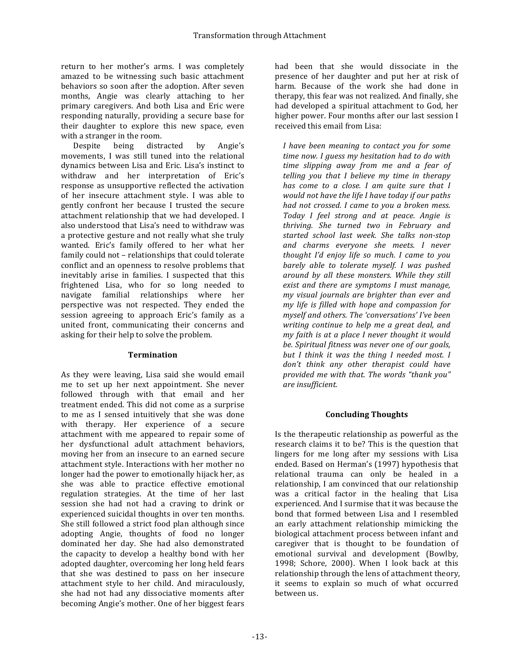return to her mother's arms. I was completely amazed to be witnessing such basic attachment behaviors so soon after the adoption. After seven months, Angie was clearly attaching to her primary caregivers. And both Lisa and Eric were responding naturally, providing a secure base for their daughter to explore this new space, even with a stranger in the room.

Despite being distracted by Angie's movements, I was still tuned into the relational dynamics between Lisa and Eric. Lisa's instinct to withdraw and her interpretation of Eric's response as unsupportive reflected the activation of her insecure attachment style. I was able to gently confront her because I trusted the secure attachment relationship that we had developed. I also understood that Lisa's need to withdraw was a protective gesture and not really what she truly wanted. Eric's family offered to her what her family could not - relationships that could tolerate conflict and an openness to resolve problems that inevitably arise in families. I suspected that this frightened Lisa, who for so long needed to navigate familial relationships where her perspective was not respected. They ended the session agreeing to approach Eric's family as a united front, communicating their concerns and asking for their help to solve the problem.

#### **Termination**

As they were leaving, Lisa said she would email me to set up her next appointment. She never followed through with that email and her treatment ended. This did not come as a surprise to me as I sensed intuitively that she was done with therapy. Her experience of a secure attachment with me appeared to repair some of her dysfunctional adult attachment behaviors, moving her from an insecure to an earned secure attachment style. Interactions with her mother no longer had the power to emotionally hijack her, as she was able to practice effective emotional regulation strategies. At the time of her last session she had not had a craving to drink or experienced suicidal thoughts in over ten months. She still followed a strict food plan although since adopting Angie, thoughts of food no longer dominated her day. She had also demonstrated the capacity to develop a healthy bond with her adopted daughter, overcoming her long held fears that she was destined to pass on her insecure attachment style to her child. And miraculously, she had not had any dissociative moments after becoming Angie's mother. One of her biggest fears

had been that she would dissociate in the presence of her daughter and put her at risk of harm. Because of the work she had done in therapy, this fear was not realized. And finally, she had developed a spiritual attachment to God, her higher power. Four months after our last session I received this email from Lisa:

*I* have been meaning to contact you for some *time now. I guess my hesitation had to do with* time slipping away from me and a fear of *telling you that I believe my time in therapy has come to a close. I am quite sure that I would not have the life I have today if our paths had not crossed. I came to you a broken mess. Today I feel strong and at peace. Angie is thriving. She turned two in February and started school last week. She talks non-stop and charms everyone she meets. I never thought I'd enjoy life so much. I came to you barely able to tolerate myself.* I was pushed *around by all these monsters. While they still exist and there are symptoms I must manage, my* visual journals are brighter than ever and *my life is filled with hope and compassion for myself and others. The 'conversations' I've been writing continue to help me a great deal, and my* faith is at a place I never thought it would be. Spiritual fitness was never one of our goals, but *I* think it was the thing *I* needed most. *I* don't think any other therapist could have provided me with that. The words "thank you" *are insufficient.* 

## **Concluding Thoughts**

Is the therapeutic relationship as powerful as the research claims it to be? This is the question that lingers for me long after my sessions with Lisa ended. Based on Herman's (1997) hypothesis that relational trauma can only be healed in a relationship. I am convinced that our relationship was a critical factor in the healing that Lisa experienced. And I surmise that it was because the bond that formed between Lisa and I resembled an early attachment relationship mimicking the biological attachment process between infant and caregiver that is thought to be foundation of emotional survival and development (Bowlby, 1998; Schore, 2000). When I look back at this relationship through the lens of attachment theory, it seems to explain so much of what occurred between us.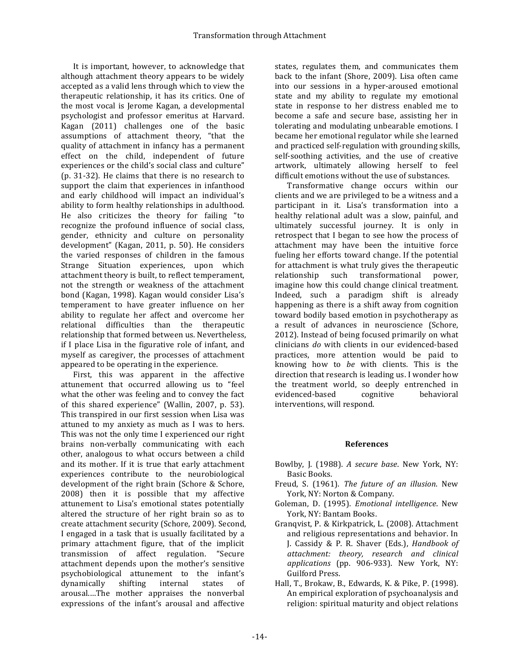It is important, however, to acknowledge that although attachment theory appears to be widely accepted as a valid lens through which to view the therapeutic relationship, it has its critics. One of the most vocal is Jerome Kagan, a developmental psychologist and professor emeritus at Harvard. Kagan (2011) challenges one of the basic assumptions of attachment theory, "that the quality of attachment in infancy has a permanent effect on the child, independent of future experiences or the child's social class and culture" (p.  $31-32$ ). He claims that there is no research to support the claim that experiences in infanthood and early childhood will impact an individual's ability to form healthy relationships in adulthood. He also criticizes the theory for failing "to recognize the profound influence of social class, gender, ethnicity and culture on personality development" (Kagan, 2011, p. 50). He considers the varied responses of children in the famous Strange Situation experiences, upon which attachment theory is built, to reflect temperament, not the strength or weakness of the attachment bond (Kagan, 1998). Kagan would consider Lisa's temperament to have greater influence on her ability to regulate her affect and overcome her relational difficulties than the therapeutic relationship that formed between us. Nevertheless, if I place Lisa in the figurative role of infant, and myself as caregiver, the processes of attachment appeared to be operating in the experience.

First, this was apparent in the affective attunement that occurred allowing us to "feel what the other was feeling and to convey the fact of this shared experience" (Wallin, 2007, p. 53). This transpired in our first session when Lisa was attuned to my anxiety as much as I was to hers. This was not the only time I experienced our right brains non-verbally communicating with each other, analogous to what occurs between a child and its mother. If it is true that early attachment experiences contribute to the neurobiological development of the right brain (Schore & Schore, 2008) then it is possible that my affective attunement to Lisa's emotional states potentially altered the structure of her right brain so as to create attachment security (Schore, 2009). Second, I engaged in a task that is usually facilitated by a primary attachment figure, that of the implicit transmission of affect regulation. "Secure attachment depends upon the mother's sensitive psychobiological attunement to the infant's dynamically shifting internal states of arousal....The mother appraises the nonverbal expressions of the infant's arousal and affective

states, regulates them, and communicates them back to the infant (Shore, 2009). Lisa often came into our sessions in a hyper-aroused emotional state and my ability to regulate my emotional state in response to her distress enabled me to become a safe and secure base, assisting her in tolerating and modulating unbearable emotions. I became her emotional regulator while she learned and practiced self-regulation with grounding skills, self-soothing activities, and the use of creative artwork, ultimately allowing herself to feel difficult emotions without the use of substances.

Transformative change occurs within our clients and we are privileged to be a witness and a participant in it. Lisa's transformation into a healthy relational adult was a slow, painful, and ultimately successful journey. It is only in retrospect that I began to see how the process of attachment may have been the intuitive force fueling her efforts toward change. If the potential for attachment is what truly gives the therapeutic relationship such transformational power, imagine how this could change clinical treatment. Indeed, such a paradigm shift is already happening as there is a shift away from cognition toward bodily based emotion in psychotherapy as a result of advances in neuroscience (Schore, 2012). Instead of being focused primarily on what clinicians *do* with clients in our evidenced-based practices, more attention would be paid to knowing how to *be* with clients. This is the direction that research is leading us. I wonder how the treatment world, so deeply entrenched in evidenced-based cognitive behavioral interventions, will respond.

#### **References**

- Bowlby, J. (1988). *A secure base*. New York, NY: Basic Books.
- Freud, S. (1961). *The future of an illusion*. New York, NY: Norton & Company.
- Goleman, D. (1995). *Emotional intelligence*. New York, NY: Bantam Books.
- Granqvist, P. & Kirkpatrick, L. (2008). Attachment and religious representations and behavior. In J. Cassidy & P. R. Shaver (Eds.), *Handbook of attachment: theory, research and clinical applications*  (pp. 906-933). New York, NY: Guilford Press.
- Hall, T., Brokaw, B., Edwards, K. & Pike, P. (1998). An empirical exploration of psychoanalysis and religion: spiritual maturity and object relations